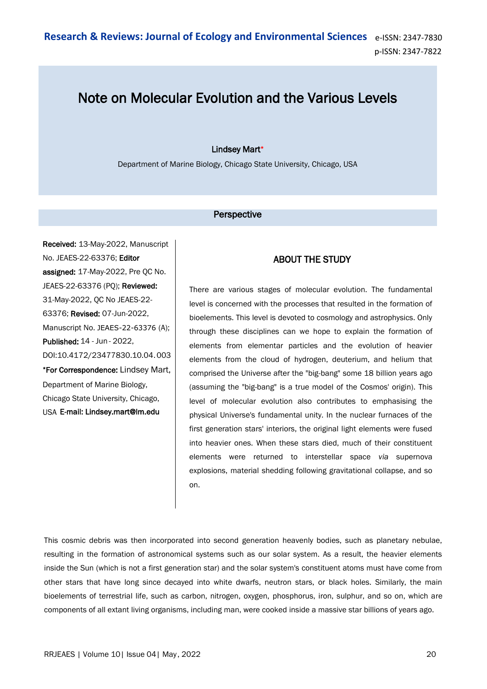## Note on Molecular Evolution and the Various Levels

## Lindsey Mart\*

Department of Marine Biology, Chicago State University, Chicago, USA

## **Perspective**

Received: 13-May-2022, Manuscript No. JEAES-22-63376; Editor assigned: 17-May-2022, Pre QC No. JEAES-22-63376 (PQ); Reviewed: 31-May-2022, QC No JEAES-22- 63376; Revised: 07-Jun-2022, Manuscript No. JEAES-22-63376 (A); Published: 14 - Jun - 2022, DOI:10.4172/23477830.10.04.003 \*For Correspondence: Lindsey Mart, Department of Marine Biology, Chicago State University, Chicago, USA E-mail: Lindsey.mart@lm.edu

## ABOUT THE STUDY

There are various stages of molecular evolution. The fundamental level is concerned with the processes that resulted in the formation of bioelements. This level is devoted to cosmology and astrophysics. Only through these disciplines can we hope to explain the formation of elements from elementar particles and the evolution of heavier elements from the cloud of hydrogen, deuterium, and helium that comprised the Universe after the "big-bang" some 18 billion years ago (assuming the "big-bang" is a true model of the Cosmos' origin). This level of molecular evolution also contributes to emphasising the physical Universe's fundamental unity. In the nuclear furnaces of the first generation stars' interiors, the original light elements were fused into heavier ones. When these stars died, much of their constituent elements were returned to interstellar space *via* supernova explosions, material shedding following gravitational collapse, and so on.

This cosmic debris was then incorporated into second generation heavenly bodies, such as planetary nebulae, resulting in the formation of astronomical systems such as our solar system. As a result, the heavier elements inside the Sun (which is not a first generation star) and the solar system's constituent atoms must have come from other stars that have long since decayed into white dwarfs, neutron stars, or black holes. Similarly, the main bioelements of terrestrial life, such as carbon, nitrogen, oxygen, phosphorus, iron, sulphur, and so on, which are components of all extant living organisms, including man, were cooked inside a massive star billions of years ago.